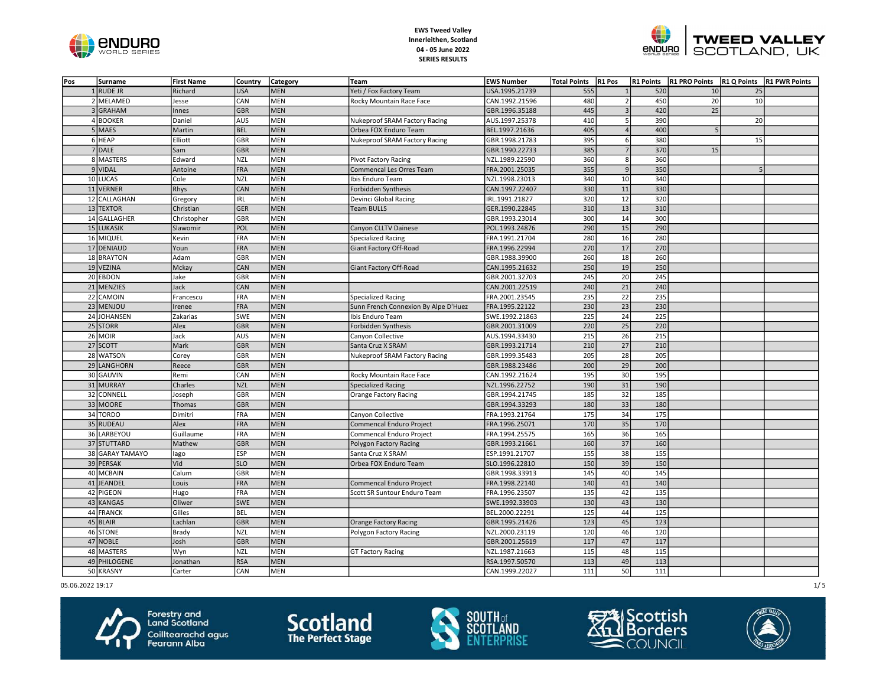



| Pos | Surname         | <b>First Name</b> | Country    | <b>Category</b> | Team                                 | <b>EWS Number</b> | <b>Total Points</b> | R <sub>1</sub> Pos      | R1 Points        | R1 PRO Points R1 Q Points |    | <b>R1 PWR Points</b> |
|-----|-----------------|-------------------|------------|-----------------|--------------------------------------|-------------------|---------------------|-------------------------|------------------|---------------------------|----|----------------------|
|     | 1 RUDE JR       | Richard           | <b>USA</b> | <b>MEN</b>      | Yeti / Fox Factory Team              | USA.1995.21739    | 555                 |                         | 520              | 10                        | 25 |                      |
|     | 2 MELAMED       | Jesse             | CAN        | <b>MEN</b>      | Rocky Mountain Race Face             | CAN.1992.21596    | 480                 | $\mathcal{P}$           | 450              | 20                        | 10 |                      |
|     | 3 GRAHAM        | Innes             | <b>GBR</b> | <b>MEN</b>      |                                      | GBR.1996.35188    | 445                 | $\overline{\mathbf{3}}$ | 420              | 25                        |    |                      |
|     | 4 BOOKER        | Daniel            | <b>AUS</b> | <b>MEN</b>      | Nukeproof SRAM Factory Racing        | AUS.1997.25378    | 410                 | 5 <sup>1</sup>          | 390              |                           | 20 |                      |
|     | 5 MAES          | Martin            | <b>BEL</b> | <b>MEN</b>      | Orbea FOX Enduro Team                | BEL.1997.21636    | 405                 | $\overline{4}$          | 400              | 5                         |    |                      |
|     | 6 HEAP          | Elliott           | GBR        | <b>MEN</b>      | Nukeproof SRAM Factory Racing        | GBR.1998.21783    | 395                 | $6 \mid$                | 380              |                           | 15 |                      |
|     | 7 DALE          | Sam               | <b>GBR</b> | <b>MEN</b>      |                                      | GBR.1990.22733    | 385                 | 7                       | 370              | 15                        |    |                      |
|     | 8 MASTERS       | Edward            | <b>NZL</b> | <b>MEN</b>      | <b>Pivot Factory Racing</b>          | NZL.1989.22590    | 360                 | 8 <sup>1</sup>          | 360              |                           |    |                      |
|     | 9 VIDAL         | Antoine           | FRA        | <b>MEN</b>      | Commencal Les Orres Team             | FRA.2001.25035    | 355                 | 9 <sub>l</sub>          | 350              |                           | 5  |                      |
|     | 10 LUCAS        | Cole              | <b>NZL</b> | <b>MEN</b>      | Ibis Enduro Team                     | NZL.1998.23013    | 340                 | 10                      | 340              |                           |    |                      |
|     | 11 VERNER       | Rhys              | CAN        | <b>MEN</b>      | Forbidden Synthesis                  | CAN.1997.22407    | 330                 | 11                      | 330              |                           |    |                      |
|     | 12 CALLAGHAN    | Gregory           | IRL        | <b>MEN</b>      | Devinci Global Racing                | IRL.1991.21827    | 320                 | 12                      | 320              |                           |    |                      |
|     | 13 TEXTOR       | Christian         | <b>GER</b> | <b>MEN</b>      | <b>Team BULLS</b>                    | GER.1990.22845    | 310                 | 13                      | 310              |                           |    |                      |
|     | 14 GALLAGHER    | Christopher       | GBR        | <b>MEN</b>      |                                      | GBR.1993.23014    | 300                 | 14                      | 300              |                           |    |                      |
|     | 15 LUKASIK      | Slawomir          | POL        | <b>MEN</b>      | Canyon CLLTV Dainese                 | POL.1993.24876    | 290                 | 15                      | 290              |                           |    |                      |
|     | 16 MIQUEL       | Kevin             | FRA        | MEN             | <b>Specialized Racing</b>            | FRA.1991.21704    | 280                 | 16                      | 280              |                           |    |                      |
|     | 17 DENIAUD      | Youn              | FRA        | <b>MEN</b>      | Giant Factory Off-Road               | FRA.1996.22994    | 270                 | 17                      | 270              |                           |    |                      |
|     | 18 BRAYTON      | Adam              | <b>GBR</b> | <b>MEN</b>      |                                      | GBR.1988.39900    | 260                 | 18                      | 260              |                           |    |                      |
|     | 19 VEZINA       | Mckay             | CAN        | <b>MEN</b>      | Giant Factory Off-Road               | CAN.1995.21632    | 250                 | 19                      | 250              |                           |    |                      |
|     | 20 EBDON        | Jake              | <b>GBR</b> | <b>MEN</b>      |                                      | GBR.2001.32703    | 245                 | 20                      | 245              |                           |    |                      |
|     | 21 MENZIES      | Jack              | CAN        | <b>MEN</b>      |                                      | CAN.2001.22519    | 240                 | 21                      | 240              |                           |    |                      |
|     | 22 CAMOIN       | Francescu         | FRA        | <b>MEN</b>      | <b>Specialized Racing</b>            | FRA.2001.23545    | 235                 | 22                      | 235              |                           |    |                      |
|     | 23 MENJOU       | Irenee            | FRA        | <b>MEN</b>      | Sunn French Connexion By Alpe D'Huez | FRA.1995.22122    | 230                 | 23                      | 230              |                           |    |                      |
|     | 24 JOHANSEN     | Zakarias          | SWE        | <b>MEN</b>      | Ibis Enduro Team                     | SWE.1992.21863    | 225                 | 24                      | 225              |                           |    |                      |
|     | 25 STORR        | Alex              | <b>GBR</b> | <b>MEN</b>      | Forbidden Synthesis                  | GBR.2001.31009    | 220                 | 25                      | 220              |                           |    |                      |
|     | 26 MOIR         | Jack              | AUS        | <b>MEN</b>      | Canyon Collective                    | AUS.1994.33430    | 215                 | 26                      | 215              |                           |    |                      |
|     | 27 SCOTT        | Mark              | <b>GBR</b> | <b>MEN</b>      | Santa Cruz X SRAM                    | GBR.1993.21714    | 210                 | $\overline{27}$         | $\overline{210}$ |                           |    |                      |
|     | 28 WATSON       | Corey             | <b>GBR</b> | <b>MEN</b>      | Nukeproof SRAM Factory Racing        | GBR.1999.35483    | 205                 | 28                      | 205              |                           |    |                      |
|     | 29 LANGHORN     | Reece             | <b>GBR</b> | <b>MEN</b>      |                                      | GBR.1988.23486    | 200                 | 29                      | 200              |                           |    |                      |
|     | 30 GAUVIN       | Remi              | CAN        | MEN             | Rocky Mountain Race Face             | CAN.1992.21624    | 195                 | 30                      | 195              |                           |    |                      |
|     | 31 MURRAY       | Charles           | <b>NZL</b> | <b>MEN</b>      | <b>Specialized Racing</b>            | NZL.1996.22752    | 190                 | $\overline{31}$         | 190              |                           |    |                      |
|     | 32 CONNELL      | Joseph            | GBR        | <b>MEN</b>      | <b>Orange Factory Racing</b>         | GBR.1994.21745    | 185                 | 32                      | 185              |                           |    |                      |
|     | 33 MOORE        | <b>Thomas</b>     | GBR        | <b>MEN</b>      |                                      | GBR.1994.33293    | 180                 | 33                      | 180              |                           |    |                      |
|     | 34 TORDO        | Dimitri           | <b>FRA</b> | <b>MEN</b>      | Canyon Collective                    | FRA.1993.21764    | 175                 | 34                      | 175              |                           |    |                      |
|     | 35 RUDEAU       | Alex              | <b>FRA</b> | <b>MEN</b>      | Commencal Enduro Project             | FRA.1996.25071    | 170                 | 35                      | 170              |                           |    |                      |
|     | 36 LARBEYOU     | Guillaume         | FRA        | <b>MEN</b>      | Commencal Enduro Project             | FRA.1994.25575    | 165                 | 36                      | 165              |                           |    |                      |
|     | 37 STUTTARD     | Mathew            | <b>GBR</b> | <b>MEN</b>      | Polygon Factory Racing               | GBR.1993.21661    | 160                 | 37                      | 160              |                           |    |                      |
|     | 38 GARAY TAMAYO | lago              | <b>ESP</b> | <b>MEN</b>      | Santa Cruz X SRAM                    | ESP.1991.21707    | 155                 | 38                      | 155              |                           |    |                      |
|     | 39 PERSAK       | Vid               | <b>SLO</b> | <b>MEN</b>      | Orbea FOX Enduro Team                | SLO.1996.22810    | 150                 | 39                      | 150              |                           |    |                      |
|     | 40 MCBAIN       | Calum             | GBR        | <b>MEN</b>      |                                      | GBR.1998.33913    | 145                 | 40                      | 145              |                           |    |                      |
|     | 41 JEANDEL      | Louis             | FRA        | <b>MEN</b>      | <b>Commencal Enduro Project</b>      | FRA.1998.22140    | 140                 | 41                      | 140              |                           |    |                      |
|     | 42 PIGEON       | Hugo              | <b>FRA</b> | MEN             | Scott SR Suntour Enduro Team         | FRA.1996.23507    | 135                 | 42                      | 135              |                           |    |                      |
|     | 43 KANGAS       | Oliwer            | <b>SWE</b> | <b>MEN</b>      |                                      | SWE.1992.33903    | 130                 | 43                      | 130              |                           |    |                      |
|     | 44 FRANCK       | Gilles            | <b>BEL</b> | <b>MEN</b>      |                                      | BEL.2000.22291    | 125                 | 44                      | 125              |                           |    |                      |
|     | 45 BLAIR        | Lachlan           | <b>GBR</b> | <b>MEN</b>      | <b>Orange Factory Racing</b>         | GBR.1995.21426    | 123                 | 45                      | 123              |                           |    |                      |
|     | 46 STONE        | Brady             | <b>NZL</b> | MEN             | Polygon Factory Racing               | NZL.2000.23119    | 120                 | 46                      | 120              |                           |    |                      |
|     | 47 NOBLE        | Josh              | <b>GBR</b> | <b>MEN</b>      |                                      | GBR.2001.25619    | 117                 | 47                      | 117              |                           |    |                      |
|     | 48 MASTERS      | Wyn               | <b>NZL</b> | MEN             | <b>GT Factory Racing</b>             | NZL.1987.21663    | 115                 | 48                      | 115              |                           |    |                      |
|     | 49 PHILOGENE    | Jonathan          | <b>RSA</b> | <b>MEN</b>      |                                      | RSA.1997.50570    | 113                 | 49                      | 113              |                           |    |                      |
|     | 50 KRASNY       | Carter            | CAN        | <b>MEN</b>      |                                      | CAN.1999.22027    | 111                 | 50                      | 111              |                           |    |                      |

05.06.2022 19:17 1/ 5







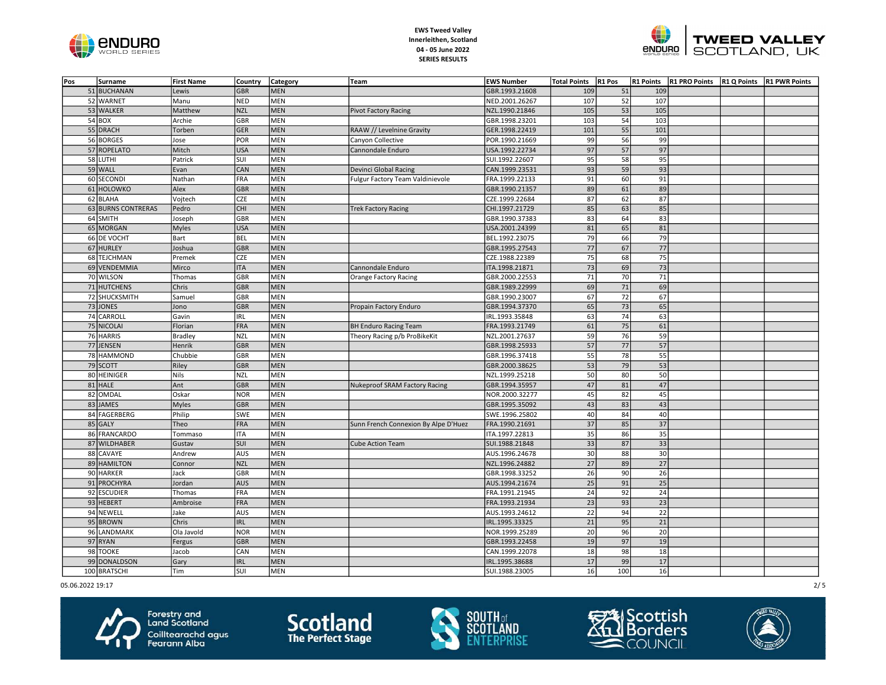



| Pos | Surname            | <b>First Name</b> | Country    | Category    | Team                                 | <b>EWS Number</b> | <b>Total Points</b> | R <sub>1</sub> Pos | R1 Points       | R1 PRO Points R1 Q Points | <b>R1 PWR Points</b> |
|-----|--------------------|-------------------|------------|-------------|--------------------------------------|-------------------|---------------------|--------------------|-----------------|---------------------------|----------------------|
|     | 51 BUCHANAN        | Lewis             | <b>GBR</b> | <b>MEN</b>  |                                      | GBR.1993.21608    | 109                 | 51                 | 109             |                           |                      |
|     | 52 WARNET          | Manu              | <b>NED</b> | <b>MEN</b>  |                                      | NED.2001.26267    | 107                 | 52                 | 107             |                           |                      |
|     | 53 WALKER          | Matthew           | <b>NZL</b> | <b>MEN</b>  | <b>Pivot Factory Racing</b>          | NZL.1990.21846    | 105                 | $\overline{53}$    | 105             |                           |                      |
|     | 54 BOX             | Archie            | GBR        | MEN         |                                      | GBR.1998.23201    | 103                 | 54                 | 103             |                           |                      |
|     | 55 DRACH           | Torben            | <b>GER</b> | <b>MEN</b>  | RAAW // Levelnine Gravity            | GER.1998.22419    | 101                 | 55                 | 101             |                           |                      |
|     | 56 BORGES          | Jose              | POR        | <b>MEN</b>  | Canyon Collective                    | POR.1990.21669    | 99                  | 56                 | 99              |                           |                      |
|     | 57 ROPELATO        | Mitch             | <b>USA</b> | <b>MEN</b>  | Cannondale Enduro                    | USA.1992.22734    | 97                  | 57                 | 97              |                           |                      |
|     | 58 LUTHI           | Patrick           | <b>SUI</b> | <b>MEN</b>  |                                      | SUI.1992.22607    | 95                  | 58                 | 95              |                           |                      |
|     | 59 WALL            | Evan              | CAN        | <b>MEN</b>  | Devinci Global Racing                | CAN.1999.23531    | 93                  | 59                 | 93              |                           |                      |
|     | 60 SECONDI         | Nathan            | FRA        | MEN         | Fulgur Factory Team Valdinievole     | FRA.1999.22133    | 91                  | 60                 | 91              |                           |                      |
|     | 61 HOLOWKO         | Alex              | <b>GBR</b> | MEN         |                                      | GBR.1990.21357    | 89                  | 61                 | 89              |                           |                      |
|     | 62 BLAHA           | Vojtech           | <b>CZE</b> | MEN         |                                      | CZE.1999.22684    | 87                  | 62                 | 87              |                           |                      |
|     | 63 BURNS CONTRERAS | Pedro             | <b>CHI</b> | MEN         | <b>Trek Factory Racing</b>           | CHI.1997.21729    | 85                  | 63                 | 85              |                           |                      |
|     | 64 SMITH           | Joseph            | GBR        | <b>MEN</b>  |                                      | GBR.1990.37383    | 83                  | 64                 | 83              |                           |                      |
|     | 65 MORGAN          | <b>Myles</b>      | <b>USA</b> | <b>MEN</b>  |                                      | USA.2001.24399    | 81                  | 65                 | 81              |                           |                      |
|     | 66 DE VOCHT        | Bart              | BEL        | <b>MEN</b>  |                                      | BEL.1992.23075    | 79                  | 66                 | 79              |                           |                      |
|     | 67 HURLEY          | Joshua            | <b>GBR</b> | <b>MEN</b>  |                                      | GBR.1995.27543    | 77                  | 67                 | $\overline{77}$ |                           |                      |
|     | 68 TEJCHMAN        | Premek            | <b>CZE</b> | <b>MEN</b>  |                                      | CZE.1988.22389    | 75                  | 68                 | 75              |                           |                      |
|     | 69 VENDEMMIA       | Mirco             | <b>ITA</b> | <b>MEN</b>  | Cannondale Enduro                    | ITA.1998.21871    | 73                  | 69                 | $\overline{73}$ |                           |                      |
|     | 70 WILSON          | Thomas            | GBR        | <b>MEN</b>  | <b>Orange Factory Racing</b>         | GBR.2000.22553    | 71                  | 70                 | $\overline{71}$ |                           |                      |
|     | 71 HUTCHENS        | Chris             | <b>GBR</b> | <b>MEN</b>  |                                      | GBR.1989.22999    | 69                  | 71                 | 69              |                           |                      |
|     | 72 SHUCKSMITH      | Samuel            | GBR        | <b>MEN</b>  |                                      | GBR.1990.23007    | 67                  | 72                 | 67              |                           |                      |
|     | 73 JONES           | Jono              | <b>GBR</b> | <b>MEN</b>  | Propain Factory Enduro               | GBR.1994.37370    | 65                  | 73                 | 65              |                           |                      |
|     | 74 CARROLL         | Gavin             | IRL        | <b>MEN</b>  |                                      | IRL.1993.35848    | 63                  | 74                 | 63              |                           |                      |
|     | 75 NICOLAI         | Florian           | <b>FRA</b> | <b>MEN</b>  | <b>BH Enduro Racing Team</b>         | FRA.1993.21749    | 61                  | 75                 | 61              |                           |                      |
|     | 76 HARRIS          | <b>Bradley</b>    | <b>NZL</b> | MEN         | Theory Racing p/b ProBikeKit         | NZL.2001.27637    | 59                  | 76                 | 59              |                           |                      |
|     | 77 JENSEN          | Henrik            | <b>GBR</b> | MEN         |                                      | GBR.1998.25933    | 57                  | 77                 | 57              |                           |                      |
|     | 78 HAMMOND         | Chubbie           | GBR        | MEN         |                                      | GBR.1996.37418    | 55                  | 78                 | 55              |                           |                      |
|     | 79 SCOTT           | Riley             | <b>GBR</b> | <b>MEN</b>  |                                      | GBR.2000.38625    | 53                  | 79                 | 53              |                           |                      |
|     | 80 HEINIGER        | Nils              | <b>NZL</b> | <b>MEN</b>  |                                      | NZL.1999.25218    | 50                  | 80                 | 50              |                           |                      |
|     | 81 HALE            | Ant               | <b>GBR</b> | <b>MEN</b>  | Nukeproof SRAM Factory Racing        | GBR.1994.35957    | 47                  | 81                 | 47              |                           |                      |
|     | 82 OMDAL           | Oskar             | <b>NOR</b> | <b>MEN</b>  |                                      | NOR.2000.32277    | 45                  | 82                 | 45              |                           |                      |
|     | 83 JAMES           | <b>Myles</b>      | <b>GBR</b> | <b>MEN</b>  |                                      | GBR.1995.35092    | 43                  | 83                 | 43              |                           |                      |
|     | 84 FAGERBERG       | Philip            | SWE        | MEN         |                                      | SWE.1996.25802    | 40                  | 84                 | 40              |                           |                      |
|     | 85 GALY            | Theo              | <b>FRA</b> | <b>MEN</b>  | Sunn French Connexion By Alpe D'Huez | FRA.1990.21691    | 37                  | 85                 | 37              |                           |                      |
|     | 86 FRANCARDO       | Tommaso           | <b>ITA</b> | <b>IMEN</b> |                                      | ITA.1997.22813    | $\overline{35}$     | 86                 | 35              |                           |                      |
|     | 87 WILDHABER       | Gustav            | SUI        | <b>MEN</b>  | <b>Cube Action Team</b>              | SUI.1988.21848    | 33                  | 87                 | 33              |                           |                      |
|     | 88 CAVAYE          | Andrew            | AUS        | <b>MEN</b>  |                                      | AUS.1996.24678    | 30                  | 88                 | 30              |                           |                      |
|     | 89 HAMILTON        | Connor            | <b>NZL</b> | <b>MEN</b>  |                                      | NZL.1996.24882    | 27                  | 89                 | 27              |                           |                      |
|     | 90 HARKER          | Jack              | GBR        | MEN         |                                      | GBR.1998.33252    | 26                  | 90                 | 26              |                           |                      |
|     | 91 PROCHYRA        | Jordan            | <b>AUS</b> | <b>MEN</b>  |                                      | AUS.1994.21674    | 25                  | 91                 | 25              |                           |                      |
|     | 92 ESCUDIER        | Thomas            | <b>FRA</b> | MEN         |                                      | FRA.1991.21945    | 24                  | 92                 | 24              |                           |                      |
|     | 93 HEBERT          | Ambroise          | <b>FRA</b> | MEN         |                                      | FRA.1993.21934    | 23                  | 93                 | $\overline{23}$ |                           |                      |
|     | 94 NEWELL          | Jake              | <b>AUS</b> | MEN         |                                      | AUS.1993.24612    | 22                  | 94                 | $\overline{22}$ |                           |                      |
|     | 95 BROWN           | Chris             | IRL        | <b>MEN</b>  |                                      | IRL.1995.33325    | $\overline{21}$     | 95                 | $\overline{21}$ |                           |                      |
|     | 96 LANDMARK        | Ola Javold        | <b>NOR</b> | <b>MEN</b>  |                                      | NOR.1999.25289    | 20                  | 96                 | 20              |                           |                      |
|     | 97 RYAN            | Fergus            | <b>GBR</b> | <b>MEN</b>  |                                      | GBR.1993.22458    | 19                  | 97                 | 19              |                           |                      |
|     | 98 TOOKE           | Jacob             | CAN        | <b>MEN</b>  |                                      | CAN.1999.22078    | 18                  | 98                 | 18              |                           |                      |
|     | 99 DONALDSON       | Gary              | <b>IRL</b> | <b>MEN</b>  |                                      | IRL.1995.38688    | 17                  | 99                 | 17              |                           |                      |
|     | 100 BRATSCHI       | Tim               | SUI        | MEN         |                                      | SUI.1988.23005    | 16                  | 100                | 16              |                           |                      |

05.06.2022 19:17 2/ 5







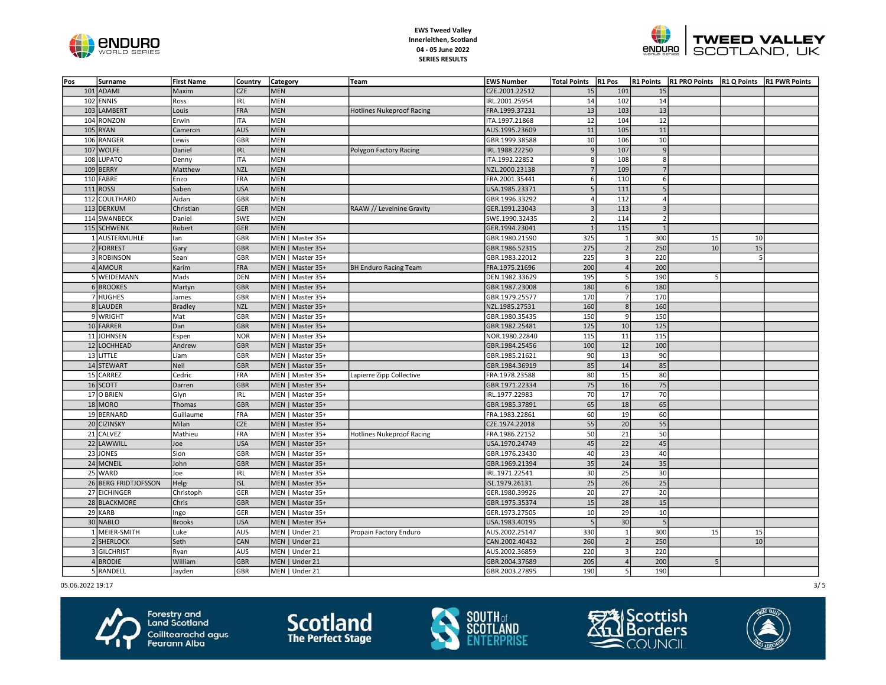



| Pos | Surname              | <b>First Name</b> | Country    | Category         | Team                             | <b>EWS Number</b> | <b>Total Points</b> | R <sub>1</sub> Pos |                 | R1 Points R1 PRO Points R1 Q Points R1 PWR Points |    |  |
|-----|----------------------|-------------------|------------|------------------|----------------------------------|-------------------|---------------------|--------------------|-----------------|---------------------------------------------------|----|--|
|     | 101 ADAMI            | <b>Maxim</b>      | <b>CZE</b> | <b>MEN</b>       |                                  | CZE.2001.22512    | 15                  | 101                | 15              |                                                   |    |  |
|     | 102 ENNIS            | Ross              | <b>IRL</b> | <b>MEN</b>       |                                  | IRL.2001.25954    | 14                  | 102                | 14              |                                                   |    |  |
|     | 103 LAMBERT          | Louis             | FRA        | <b>MEN</b>       | <b>Hotlines Nukeproof Racing</b> | FRA.1999.37231    | 13                  | 103                | 13              |                                                   |    |  |
|     | 104 RONZON           | Erwin             | <b>ITA</b> | MEN              |                                  | ITA.1997.21868    | 12                  | 104                | 12              |                                                   |    |  |
|     | 105 RYAN             | Cameron           | AUS        | <b>MEN</b>       |                                  | AUS.1995.23609    | 11                  | 105                | 11              |                                                   |    |  |
|     | 106 RANGER           | Lewis             | GBR        | <b>MEN</b>       |                                  | GBR.1999.38588    | 10                  | 106                | 10 <sup>1</sup> |                                                   |    |  |
|     | 107 WOLFE            | Daniel            | <b>IRL</b> | <b>MEN</b>       | Polygon Factory Racing           | IRL.1988.22250    | 9                   | 107                | 9               |                                                   |    |  |
|     | 108 LUPATO           | Denny             | <b>ITA</b> | <b>MEN</b>       |                                  | ITA.1992.22852    | 8                   | 108                | 8               |                                                   |    |  |
|     | 109 BERRY            | Matthew           | <b>NZL</b> | <b>MEN</b>       |                                  | NZL.2000.23138    |                     | 109                | $\overline{7}$  |                                                   |    |  |
|     | 110 FABRE            | Enzo              | FRA        | <b>MEN</b>       |                                  | FRA.2001.35441    | 6                   | 110                | 6 <sup>1</sup>  |                                                   |    |  |
|     | $111$ ROSSI          | Saben             | <b>USA</b> | <b>MEN</b>       |                                  | USA.1985.23371    | 5                   | 111                | $\overline{5}$  |                                                   |    |  |
|     | 112 COULTHARD        | Aidan             | GBR        | <b>MEN</b>       |                                  | GBR.1996.33292    | $\overline{4}$      | 112                | 4 <sup>1</sup>  |                                                   |    |  |
|     | 113 DERKUM           | Christian         | GER        | <b>MEN</b>       | RAAW // Levelnine Gravity        | GER.1991.23043    | $\overline{3}$      | 113                | $\overline{3}$  |                                                   |    |  |
|     | 114 SWANBECK         | Daniel            | <b>SWE</b> | <b>MEN</b>       |                                  | SWE.1990.32435    | $\overline{2}$      | 114                | 2               |                                                   |    |  |
|     | 115 SCHWENK          | Robert            | GER        | <b>MEN</b>       |                                  | GER.1994.23041    |                     | 115                | $\overline{1}$  |                                                   |    |  |
|     | 1 AUSTERMUHLE        | Ian               | GBR        | MEN   Master 35+ |                                  | GBR.1980.21590    | 325                 | $\overline{1}$     | 300             | 15                                                | 10 |  |
|     | 2 FORREST            | Gary              | <b>GBR</b> | MEN   Master 35+ |                                  | GBR.1986.52315    | 275                 | $\overline{2}$     | 250             | 10                                                | 15 |  |
|     | 3 ROBINSON           | Sean              | GBR        | MEN   Master 35+ |                                  | GBR.1983.22012    | 225                 | $\overline{3}$     | 220             |                                                   | 5  |  |
|     | 4 AMOUR              | Karim             | FRA        | MEN   Master 35+ | <b>BH Enduro Racing Team</b>     | FRA.1975.21696    | 200                 |                    | 200             |                                                   |    |  |
|     | 5 WEIDEMANN          | Mads              | DEN        | MEN   Master 35+ |                                  | DEN.1982.33629    | 195                 | .5                 | 190             | -5                                                |    |  |
|     | 6 BROOKES            | Martyn            | GBR        | MEN   Master 35+ |                                  | GBR.1987.23008    | 180                 | 6                  | 180             |                                                   |    |  |
|     | 7 HUGHES             | James             | GBR        | MEN   Master 35+ |                                  | GBR.1979.25577    | 170                 | 7                  | 170             |                                                   |    |  |
|     | 8 LAUDER             | <b>Bradley</b>    | <b>NZL</b> | MEN   Master 35+ |                                  | NZL.1985.27531    | 160                 | 8 <sup>2</sup>     | 160             |                                                   |    |  |
|     | 9 WRIGHT             | Mat               | GBR        | MEN   Master 35+ |                                  | GBR.1980.35435    | 150                 | 9                  | 150             |                                                   |    |  |
|     | 10 FARRER            | Dan               | GBR        | MEN   Master 35+ |                                  | GBR.1982.25481    | 125                 | 10                 | 125             |                                                   |    |  |
|     | 11 JOHNSEN           | Espen             | <b>NOR</b> | MEN   Master 35+ |                                  | NOR.1980.22840    | 115                 | 11                 | 115             |                                                   |    |  |
|     | 12 LOCHHEAD          | Andrew            | <b>GBR</b> | MEN   Master 35+ |                                  | GBR.1984.25456    | 100                 | 12                 | 100             |                                                   |    |  |
|     | 13 LITTLE            | Liam              | GBR        | MEN   Master 35+ |                                  | GBR.1985.21621    | 90                  | 13                 | 90              |                                                   |    |  |
|     | 14 STEWART           | Neil              | GBR        | MEN   Master 35+ |                                  | GBR.1984.36919    | 85                  | 14                 | 85              |                                                   |    |  |
|     | 15 CARREZ            | Cedric            | FRA        | MEN   Master 35+ | Lapierre Zipp Collective         | FRA.1978.23588    | 80                  | 15                 | 80              |                                                   |    |  |
|     | 16 SCOTT             | Darren            | <b>GBR</b> | MEN   Master 35+ |                                  | GBR.1971.22334    | 75                  | 16                 | 75              |                                                   |    |  |
|     | 17 O BRIEN           | Glyn              | <b>IRL</b> | MEN   Master 35+ |                                  | IRL.1977.22983    | 70                  | 17                 | <b>70</b>       |                                                   |    |  |
|     | 18 MORO              | Thomas            | GBR        | MEN   Master 35+ |                                  | GBR.1985.37891    | 65                  | 18                 | 65              |                                                   |    |  |
|     | 19 BERNARD           | Guillaume         | FRA        | MEN   Master 35+ |                                  | FRA.1983.22861    | 60                  | 19                 | 60              |                                                   |    |  |
|     | 20 CIZINSKY          | Milan             | <b>CZE</b> | MEN   Master 35+ |                                  | CZE.1974.22018    | 55                  | 20                 | 55              |                                                   |    |  |
|     | 21 CALVEZ            | Mathieu           | FRA        | MEN   Master 35+ | <b>Hotlines Nukeproof Racing</b> | FRA.1986.22152    | 50                  | 21                 | 50              |                                                   |    |  |
|     | 22 LAWWILL           | Joe               | <b>USA</b> | MEN   Master 35+ |                                  | USA.1970.24749    | 45                  | 22                 | 45              |                                                   |    |  |
|     | 23 JONES             | Sion              | <b>GBR</b> | MEN   Master 35+ |                                  | GBR.1976.23430    | 40                  | 23                 | 40              |                                                   |    |  |
|     | 24 MCNEIL            | John              | GBR        | MEN   Master 35+ |                                  | GBR.1969.21394    | 35                  | 24                 | 35              |                                                   |    |  |
|     | 25 WARD              | Joe               | <b>IRL</b> | MEN   Master 35+ |                                  | IRL.1971.22541    | 30                  | 25                 | 30              |                                                   |    |  |
|     | 26 BERG FRIDTJOFSSON | Helgi             | <b>ISL</b> | MEN   Master 35+ |                                  | ISL.1979.26131    | 25                  | 26                 | $\overline{25}$ |                                                   |    |  |
|     | 27 EICHINGER         | Christoph         | GER        | MEN   Master 35+ |                                  | GER.1980.39926    | 20                  | 27                 | 20              |                                                   |    |  |
|     | 28 BLACKMORE         | Chris             | GBR        | MEN   Master 35+ |                                  | GBR.1975.35374    | $15$                | 28                 | 15              |                                                   |    |  |
|     | 29 KARB              | Ingo              | GER        | MEN   Master 35+ |                                  | GER.1973.27505    | $10\,$              | 29                 | 10              |                                                   |    |  |
|     | 30 NABLO             | <b>Brooks</b>     | <b>USA</b> | MEN   Master 35+ |                                  | USA.1983.40195    | 5                   | 30                 | 5               |                                                   |    |  |
|     | 1 MEIER-SMITH        | Luke              | AUS        | MEN   Under 21   | Propain Factory Enduro           | AUS.2002.25147    | 330                 | $\overline{1}$     | 300             | 15                                                | 15 |  |
|     | 2 SHERLOCK           | Seth              | CAN        | MEN   Under 21   |                                  | CAN.2002.40432    | 260                 | $\overline{2}$     | 250             |                                                   | 10 |  |
|     | 3 GILCHRIST          | Ryan              | AUS        | MEN   Under 21   |                                  | AUS.2002.36859    | 220                 | $\overline{3}$     | 220             |                                                   |    |  |
|     | 4 BRODIE             | William           | <b>GBR</b> | MEN   Under 21   |                                  | GBR.2004.37689    | 205                 | $\overline{4}$     | 200             | 5                                                 |    |  |
|     | 5 RANDELL            | Jayden            | GBR        | MEN   Under 21   |                                  | GBR.2003.27895    | 190                 | 5 <sup>1</sup>     | 190             |                                                   |    |  |

05.06.2022 19:17 3/ 5







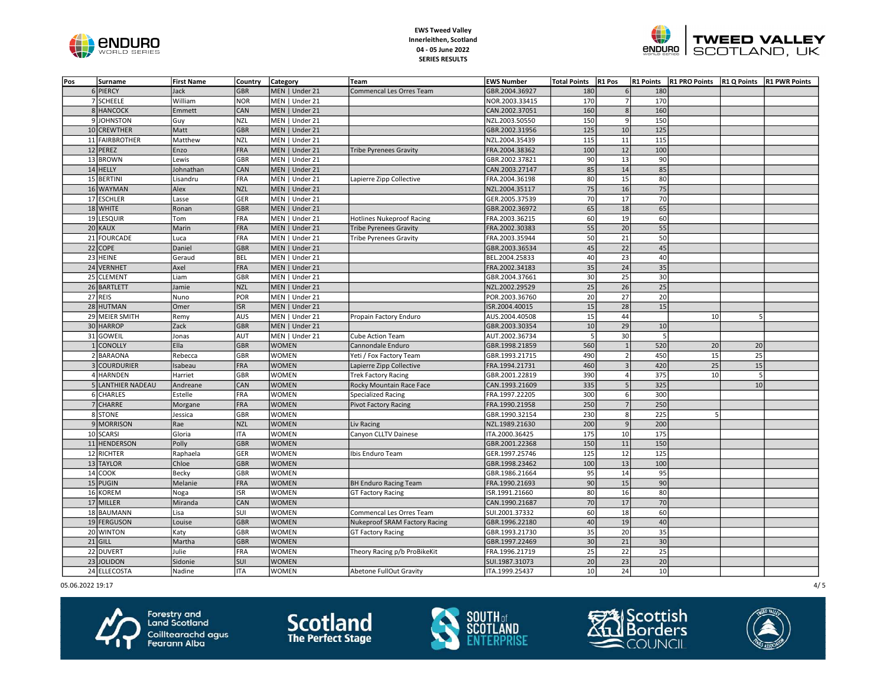



| Pos | Surname           | <b>First Name</b> | <b>Country</b> | Category       | Team                                 | <b>EWS Number</b> | <b>Total Points</b> | R <sub>1</sub> Pos |                          | R1 Points R1 PRO Points R1 Q Points R1 PWR Points |    |  |
|-----|-------------------|-------------------|----------------|----------------|--------------------------------------|-------------------|---------------------|--------------------|--------------------------|---------------------------------------------------|----|--|
|     | 6 PIERCY          | Jack              | <b>GBR</b>     | MEN   Under 21 | Commencal Les Orres Team             | GBR.2004.36927    | 180                 | 6 <sup>1</sup>     | 180                      |                                                   |    |  |
|     | 7 SCHEELE         | William           | <b>NOR</b>     | MEN   Under 21 |                                      | NOR.2003.33415    | 170                 |                    | 170                      |                                                   |    |  |
|     | 8 HANCOCK         | Emmett            | CAN            | MEN   Under 21 |                                      | CAN.2002.37051    | 160                 | 8 <sup>2</sup>     | 160                      |                                                   |    |  |
|     | 9JOHNSTON         | Guy               | <b>NZL</b>     | MEN   Under 21 |                                      | NZL.2003.50550    | 150                 | -9                 | 150                      |                                                   |    |  |
|     | 10 CREWTHER       | Matt              | GBR            | MEN   Under 21 |                                      | GBR.2002.31956    | 125                 | 10                 | 125                      |                                                   |    |  |
|     | 11 FAIRBROTHER    | Matthew           | NZL            | MEN   Under 21 |                                      | NZL.2004.35439    | 115                 | 11                 | 115                      |                                                   |    |  |
|     | $12$ PEREZ        | Enzo              | FRA            | MEN   Under 21 | <b>Tribe Pyrenees Gravity</b>        | FRA.2004.38362    | 100                 | 12                 | 100                      |                                                   |    |  |
|     | 13 BROWN          | Lewis             | GBR            | MEN   Under 21 |                                      | GBR.2002.37821    | 90                  | 13                 | 90                       |                                                   |    |  |
|     | 14 HELLY          | Johnathan         | <b>CAN</b>     | MEN   Under 21 |                                      | CAN.2003.27147    | 85                  | 14                 | 85                       |                                                   |    |  |
|     | 15 BERTINI        | Lisandru          | FRA            | MEN   Under 21 | Lapierre Zipp Collective             | FRA.2004.36198    | 80                  | 15                 | 80                       |                                                   |    |  |
|     | 16 WAYMAN         | Alex              | <b>NZL</b>     | MEN   Under 21 |                                      | NZL.2004.35117    | 75                  | 16                 | 75                       |                                                   |    |  |
|     | 17 ESCHLER        | Lasse             | GER            | MEN   Under 21 |                                      | GER.2005.37539    | 70                  | 17                 | 70                       |                                                   |    |  |
|     | 18 WHITE          | Ronan             | <b>GBR</b>     | MEN   Under 21 |                                      | GBR.2002.36972    | 65                  | 18                 | 65                       |                                                   |    |  |
|     | 19 LESQUIR        | Tom               | FRA            | MEN   Under 21 | <b>Hotlines Nukeproof Racing</b>     | FRA.2003.36215    | 60                  | 19                 | 60                       |                                                   |    |  |
|     | 20 KAUX           | Marin             | FRA            | MEN   Under 21 | <b>Tribe Pyrenees Gravity</b>        | FRA.2002.30383    | 55                  | 20                 | 55                       |                                                   |    |  |
|     | 21 FOURCADE       | Luca              | FRA            | MEN   Under 21 | <b>Tribe Pyrenees Gravity</b>        | FRA.2003.35944    | 50                  | 21                 | 50                       |                                                   |    |  |
|     | 22 COPE           | Daniel            | GBR            | MEN   Under 21 |                                      | GBR.2003.36534    | 45                  | 22                 | 45                       |                                                   |    |  |
|     | 23 HEINE          | Geraud            | <b>BEL</b>     | MEN   Under 21 |                                      | BEL.2004.25833    | 40                  | 23                 | 40                       |                                                   |    |  |
|     | 24 VERNHET        | Axel              | <b>FRA</b>     | MEN   Under 21 |                                      | FRA.2002.34183    | $\overline{35}$     | $\overline{24}$    | 35                       |                                                   |    |  |
|     | 25 CLEMENT        | Liam              | GBR            | MEN   Under 21 |                                      | GBR.2004.37661    | 30                  | 25                 | 30                       |                                                   |    |  |
|     | 26 BARTLETT       | Jamie             | <b>NZL</b>     | MEN   Under 21 |                                      | NZL.2002.29529    | 25                  | 26                 | 25                       |                                                   |    |  |
|     | 27 REIS           | Nuno              | POR            | MEN   Under 21 |                                      | POR.2003.36760    | 20                  | 27                 | 20                       |                                                   |    |  |
|     | 28 HUTMAN         | Omer              | <b>ISR</b>     | MEN   Under 21 |                                      | ISR.2004.40015    | 15                  | 28                 | 15                       |                                                   |    |  |
|     | 29 MEIER SMITH    | Remy              | AUS            | MEN   Under 21 | Propain Factory Enduro               | AUS.2004.40508    | 15                  | 44                 |                          | 10                                                | 5  |  |
|     | 30 HARROP         | Zack              | <b>GBR</b>     | MEN   Under 21 |                                      | GBR.2003.30354    | 10                  | 29                 | 10                       |                                                   |    |  |
|     | 31 GOWEIL         | Jonas             | AUT            | MEN   Under 21 | Cube Action Team                     | AUT.2002.36734    | 5                   | 30                 | $\overline{\phantom{a}}$ |                                                   |    |  |
|     | <b>CONOLLY</b>    | Ella              | GBR            | <b>WOMEN</b>   | Cannondale Enduro                    | GBR.1998.21859    | 560                 |                    | 520                      | 20                                                | 20 |  |
|     | 2 BARAONA         | Rebecca           | GBR            | <b>WOMEN</b>   | Yeti / Fox Factory Team              | GBR.1993.21715    | 490                 | $\overline{2}$     | 450                      | 15                                                | 25 |  |
|     | 3 COURDURIER      | Isabeau           | <b>FRA</b>     | <b>WOMEN</b>   | Lapierre Zipp Collective             | FRA.1994.21731    | 460                 |                    | 420                      | 25                                                | 15 |  |
|     | 4 HARNDEN         | Harriet           | GBR            | <b>WOMEN</b>   | <b>Trek Factory Racing</b>           | GBR.2001.22819    | 390                 |                    | 375                      | 10                                                | 5  |  |
|     | 5 LANTHIER NADEAU | Andreane          | CAN            | <b>WOMEN</b>   | Rocky Mountain Race Face             | CAN.1993.21609    | 335                 |                    | 325                      |                                                   | 10 |  |
|     | 6 CHARLES         | <b>Estelle</b>    | FRA            | <b>WOMEN</b>   | Specialized Racing                   | FRA.1997.22205    | 300                 | 6                  | 300                      |                                                   |    |  |
|     | 7 CHARRE          | Morgane           | FRA            | <b>WOMEN</b>   | <b>Pivot Factory Racing</b>          | FRA.1990.21958    | 250                 | $\overline{7}$     | 250                      |                                                   |    |  |
|     | 8 STONE           | Jessica           | GBR            | <b>WOMEN</b>   |                                      | GBR.1990.32154    | 230                 | 8                  | 225                      | 5                                                 |    |  |
|     | 9 MORRISON        | Rae               | <b>NZL</b>     | <b>WOMEN</b>   | Liv Racing                           | NZL.1989.21630    | 200                 | $\overline{9}$     | 200                      |                                                   |    |  |
|     | 10 SCARSI         | Gloria            | <b>ITA</b>     | <b>WOMEN</b>   | Canyon CLLTV Dainese                 | ITA.2000.36425    | 175                 | 10                 | 175                      |                                                   |    |  |
|     | 11 HENDERSON      | Polly             | <b>GBR</b>     | <b>WOMEN</b>   |                                      | GBR.2001.22368    | 150                 | 11                 | 150                      |                                                   |    |  |
|     | 12 RICHTER        | Raphaela          | <b>GER</b>     | <b>WOMEN</b>   | Ibis Enduro Team                     | GER.1997.25746    | 125                 | 12                 | 125                      |                                                   |    |  |
|     | 13 TAYLOR         | Chloe             | GBR            | <b>WOMEN</b>   |                                      | GBR.1998.23462    | 100                 | 13                 | 100                      |                                                   |    |  |
|     | 14 COOK           | Becky             | GBR            | <b>WOMEN</b>   |                                      | GBR.1986.21664    | 95                  | 14                 | 95                       |                                                   |    |  |
|     | 15 PUGIN          | Melanie           | FRA            | <b>WOMEN</b>   | <b>BH Enduro Racing Team</b>         | FRA.1990.21693    | 90                  | 15                 | 90                       |                                                   |    |  |
|     | 16 KOREM          | Noga              | <b>ISR</b>     | <b>WOMEN</b>   | GT Factory Racing                    | ISR.1991.21660    | 80                  | 16                 | 80                       |                                                   |    |  |
|     | 17 MILLER         | Miranda           | <b>CAN</b>     | <b>WOMEN</b>   |                                      | CAN.1990.21687    | 70                  | 17                 | 70                       |                                                   |    |  |
|     | 18 BAUMANN        | Lisa              | sui            | <b>WOMEN</b>   | Commencal Les Orres Team             | SUI.2001.37332    | 60                  | 18                 | 60                       |                                                   |    |  |
|     | 19 FERGUSON       | Louise            | <b>GBR</b>     | <b>WOMEN</b>   | <b>Nukeproof SRAM Factory Racing</b> | GBR.1996.22180    | 40                  | 19                 | 40                       |                                                   |    |  |
|     | 20 WINTON         | Katy              | GBR            | <b>WOMEN</b>   | <b>GT Factory Racing</b>             | GBR.1993.21730    | 35                  | 20                 | 35                       |                                                   |    |  |
|     | $21$ GILL         | Martha            | <b>GBR</b>     | <b>WOMEN</b>   |                                      | GBR.1997.22469    | 30                  | 21                 | 30                       |                                                   |    |  |
|     | 22 DUVERT         | Julie             | FRA            | <b>WOMEN</b>   | Theory Racing p/b ProBikeKit         | FRA.1996.21719    | 25                  | 22                 | 25                       |                                                   |    |  |
|     | 23 JOLIDON        | Sidonie           | <b>SUI</b>     | <b>WOMEN</b>   |                                      | SUI.1987.31073    | 20                  | 23                 | 20                       |                                                   |    |  |
|     | 24 ELLECOSTA      | Nadine            | <b>ITA</b>     | <b>WOMEN</b>   | Abetone FullOut Gravity              | ITA.1999.25437    | 10 <sup>1</sup>     | 24                 | 10                       |                                                   |    |  |

05.06.2022 19:17 4/ 5